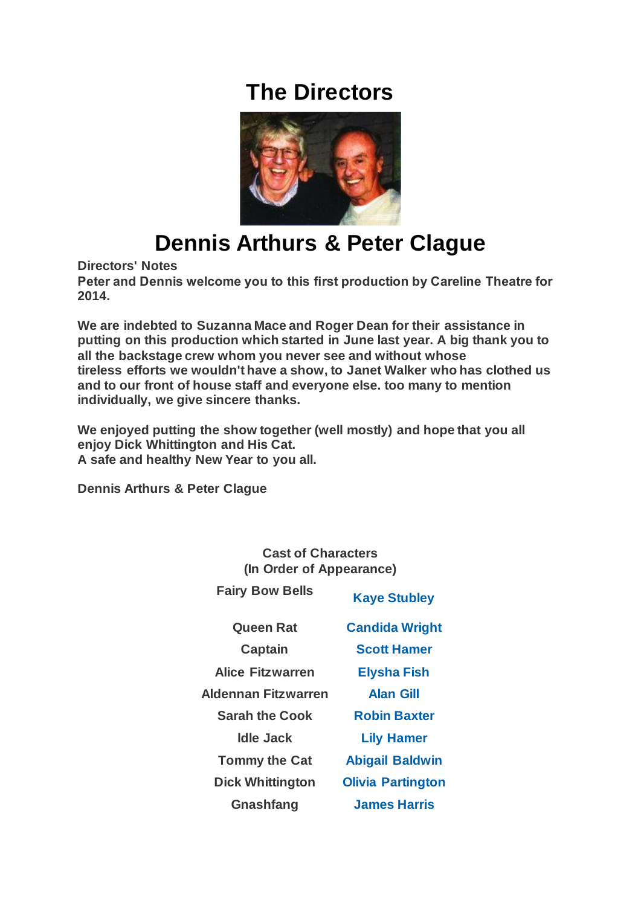## **The Directors**



## **Dennis Arthurs & Peter Clague**

**Directors' Notes**

**Peter and Dennis welcome you to this first production by Careline Theatre for 2014.**

**We are indebted to Suzanna Mace and Roger Dean for their assistance in putting on this production which started in June last year. A big thank you to all the backstage crew whom you never see and without whose tireless efforts we wouldn't have a show, to Janet Walker who has clothed us and to our front of house staff and everyone else. too many to mention individually, we give sincere thanks.**

**We enjoyed putting the show together (well mostly) and hope that you all enjoy Dick Whittington and His Cat. A safe and healthy New Year to you all.**

**Dennis Arthurs & Peter Clague**

| <b>Cast of Characters</b><br>(In Order of Appearance) |                          |
|-------------------------------------------------------|--------------------------|
| <b>Fairy Bow Bells</b>                                | <b>Kaye Stubley</b>      |
| Queen Rat                                             | <b>Candida Wright</b>    |
| <b>Captain</b>                                        | <b>Scott Hamer</b>       |
| Alice Fitzwarren                                      | <b>Elysha Fish</b>       |
| <b>Aldennan Fitzwarren</b>                            | <b>Alan Gill</b>         |
| <b>Sarah the Cook</b>                                 | <b>Robin Baxter</b>      |
| Idle Jack                                             | <b>Lily Hamer</b>        |
| <b>Tommy the Cat</b>                                  | <b>Abigail Baldwin</b>   |
| <b>Dick Whittington</b>                               | <b>Olivia Partington</b> |
| Gnashfang                                             | <b>James Harris</b>      |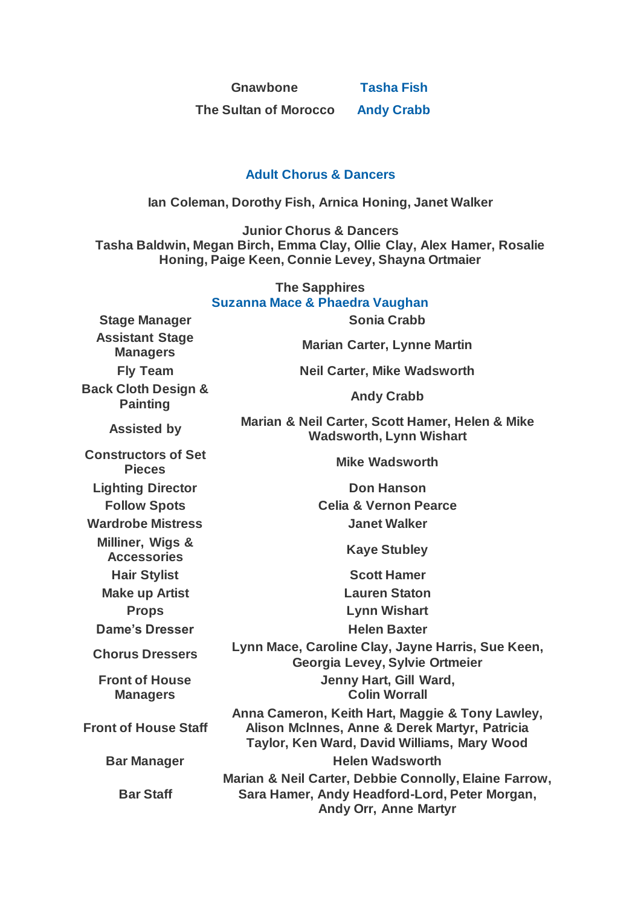**Gnawbone [Tasha Fish](https://www.carelinetheatre.com/pastprods/dickwhittington2014.php#James)**

**The Sultan of Morocco [Andy Crabb](https://www.carelinetheatre.com/pastprods/dickwhittington2014.php#Andy)**

## **[Adult Chorus & Dancers](https://www.carelinetheatre.com/pastprods/dickwhittington2014.php#Chorus)**

**Ian Coleman, Dorothy Fish, Arnica Honing, Janet Walker**

**Junior Chorus & Dancers Tasha Baldwin, Megan Birch, Emma Clay, Ollie Clay, Alex Hamer, Rosalie Honing, Paige Keen, Connie Levey, Shayna Ortmaier**

| <b>The Sapphires</b><br><b>Suzanna Mace &amp; Phaedra Vaughan</b> |                                                                                                                                                 |  |
|-------------------------------------------------------------------|-------------------------------------------------------------------------------------------------------------------------------------------------|--|
| <b>Stage Manager</b>                                              | <b>Sonia Crabb</b>                                                                                                                              |  |
| <b>Assistant Stage</b><br><b>Managers</b>                         | <b>Marian Carter, Lynne Martin</b>                                                                                                              |  |
| <b>Fly Team</b>                                                   | <b>Neil Carter, Mike Wadsworth</b>                                                                                                              |  |
| <b>Back Cloth Design &amp;</b><br><b>Painting</b>                 | <b>Andy Crabb</b>                                                                                                                               |  |
| <b>Assisted by</b>                                                | Marian & Neil Carter, Scott Hamer, Helen & Mike<br><b>Wadsworth, Lynn Wishart</b>                                                               |  |
| <b>Constructors of Set</b><br><b>Pieces</b>                       | <b>Mike Wadsworth</b>                                                                                                                           |  |
| <b>Lighting Director</b>                                          | <b>Don Hanson</b>                                                                                                                               |  |
| <b>Follow Spots</b>                                               | <b>Celia &amp; Vernon Pearce</b>                                                                                                                |  |
| <b>Wardrobe Mistress</b>                                          | <b>Janet Walker</b>                                                                                                                             |  |
| Milliner, Wigs &<br><b>Accessories</b>                            | <b>Kaye Stubley</b>                                                                                                                             |  |
| <b>Hair Stylist</b>                                               | <b>Scott Hamer</b>                                                                                                                              |  |
| <b>Make up Artist</b>                                             | <b>Lauren Staton</b>                                                                                                                            |  |
| <b>Props</b>                                                      | <b>Lynn Wishart</b>                                                                                                                             |  |
| <b>Dame's Dresser</b>                                             | <b>Helen Baxter</b>                                                                                                                             |  |
| <b>Chorus Dressers</b>                                            | Lynn Mace, Caroline Clay, Jayne Harris, Sue Keen,<br>Georgia Levey, Sylvie Ortmeier                                                             |  |
| <b>Front of House</b><br><b>Managers</b>                          | Jenny Hart, Gill Ward,<br><b>Colin Worrall</b>                                                                                                  |  |
| <b>Front of House Staff</b>                                       | Anna Cameron, Keith Hart, Maggie & Tony Lawley,<br>Alison McInnes, Anne & Derek Martyr, Patricia<br>Taylor, Ken Ward, David Williams, Mary Wood |  |
| <b>Bar Manager</b>                                                | <b>Helen Wadsworth</b>                                                                                                                          |  |
| <b>Bar Staff</b>                                                  | Marian & Neil Carter, Debbie Connolly, Elaine Farrow,<br>Sara Hamer, Andy Headford-Lord, Peter Morgan,<br><b>Andy Orr, Anne Martyr</b>          |  |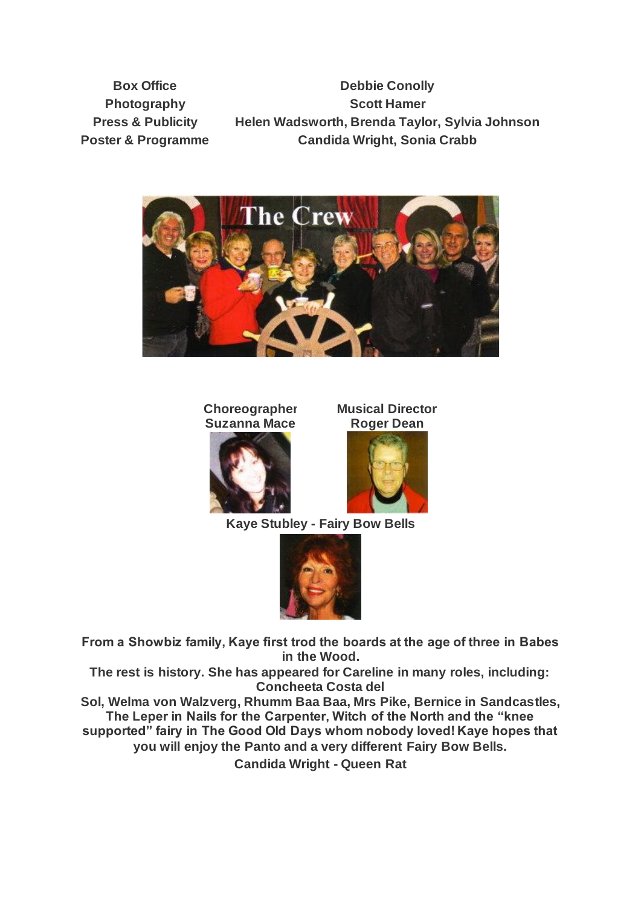**Box Office**  Debbie Conolly **Photography Scott Hamer Press & Publicity Helen Wadsworth, Brenda Taylor, Sylvia Johnson Poster & Programme Candida Wright, Sonia Crabb**





**Musical Director Roger Dean**





**Kaye Stubley - Fairy Bow Bells**



**From a Showbiz family, Kaye first trod the boards at the age of three in Babes in the Wood.**

**The rest is history. She has appeared for Careline in many roles, including: Concheeta Costa del**

**Sol, Welma von Walzverg, Rhumm Baa Baa, Mrs Pike, Bernice in Sandcastles, The Leper in Nails for the Carpenter, Witch of the North and the "knee supported" fairy in The Good Old Days whom nobody loved! Kaye hopes that you will enjoy the Panto and a very different Fairy Bow Bells.**

**Candida Wright - Queen Rat**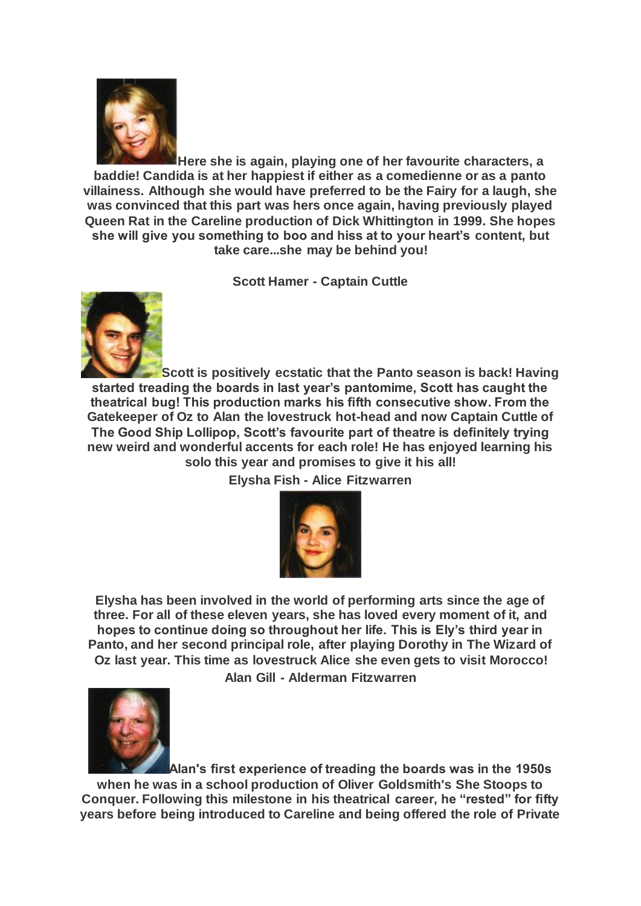

**Here she is again, playing one of her favourite characters, a baddie! Candida is at her happiest if either as a comedienne or as a panto villainess. Although she would have preferred to be the Fairy for a laugh, she was convinced that this part was hers once again, having previously played Queen Rat in the Careline production of Dick Whittington in 1999. She hopes she will give you something to boo and hiss at to your heart's content, but take care...she may be behind you!**

**Scott Hamer - Captain Cuttle**



**Scott is positively ecstatic that the Panto season is back! Having started treading the boards in last year's pantomime, Scott has caught the theatrical bug! This production marks his fifth consecutive show. From the Gatekeeper of Oz to Alan the lovestruck hot-head and now Captain Cuttle of The Good Ship Lollipop, Scott's favourite part of theatre is definitely trying new weird and wonderful accents for each role! He has enjoyed learning his solo this year and promises to give it his all!**

**Elysha Fish - Alice Fitzwarren**



**Elysha has been involved in the world of performing arts since the age of three. For all of these eleven years, she has loved every moment of it, and hopes to continue doing so throughout her life. This is Ely's third year in Panto, and her second principal role, after playing Dorothy in The Wizard of Oz last year. This time as lovestruck Alice she even gets to visit Morocco!**



**Alan's first experience of treading the boards was in the 1950s when he was in a school production of Oliver Goldsmith's She Stoops to Conquer. Following this milestone in his theatrical career, he "rested" for fifty years before being introduced to Careline and being offered the role of Private**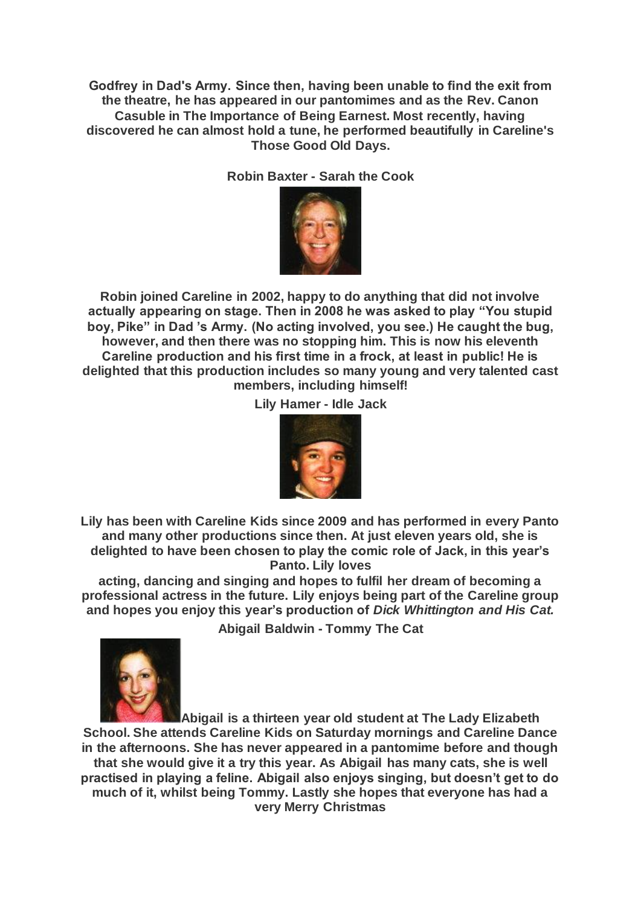**Godfrey in Dad's Army. Since then, having been unable to find the exit from the theatre, he has appeared in our pantomimes and as the Rev. Canon Casuble in The Importance of Being Earnest. Most recently, having discovered he can almost hold a tune, he performed beautifully in Careline's Those Good Old Days.**

**Robin Baxter - Sarah the Cook**



**Robin joined Careline in 2002, happy to do anything that did not involve actually appearing on stage. Then in 2008 he was asked to play "You stupid boy, Pike" in Dad 's Army. (No acting involved, you see.) He caught the bug, however, and then there was no stopping him. This is now his eleventh Careline production and his first time in a frock, at least in public! He is delighted that this production includes so many young and very talented cast members, including himself!**

**Lily Hamer - Idle Jack**



**Lily has been with Careline Kids since 2009 and has performed in every Panto and many other productions since then. At just eleven years old, she is delighted to have been chosen to play the comic role of Jack, in this year's Panto. Lily loves**

**acting, dancing and singing and hopes to fulfil her dream of becoming a professional actress in the future. Lily enjoys being part of the Careline group and hopes you enjoy this year's production of** *Dick Whittington and His Cat.*

**Abigail Baldwin - Tommy The Cat**



**Abigail is a thirteen year old student at The Lady Elizabeth School. She attends Careline Kids on Saturday mornings and Careline Dance in the afternoons. She has never appeared in a pantomime before and though that she would give it a try this year. As Abigail has many cats, she is well practised in playing a feline. Abigail also enjoys singing, but doesn't get to do much of it, whilst being Tommy. Lastly she hopes that everyone has had a very Merry Christmas**